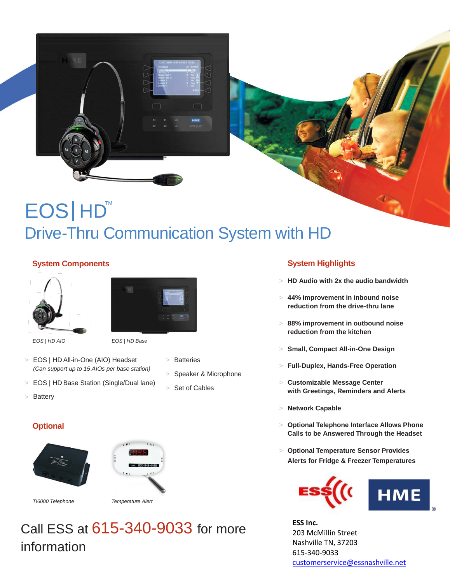

# EOS HD<sup>™</sup> Drive-Thru Communication System with HD

### **System Components System Highlights**





*EOS | HD AIO EOS | HD Base* 

- > EOS | HD All-in-One (AIO) Headset *(Can support up to 15 AIOs per base station)*
- > EOS | HD Base Station (Single/Dual lane) > Set of Cables
- > Battery

- - Speaker & Microphone
	-

### **Optional**





*TI6000 Telephone Temperature Alert* 

## Call ESS at 615-340-9033 for more information

- > **HD Audio with 2x the audio bandwidth**
- > **44% improvement in inbound noise reduction from the drive-thru lane**
- > **88% improvement in outbound noise reduction from the kitchen**
- > **Small, Compact All-in-One Design**
- <sup>&</sup>gt; Batteries <sup>&</sup>gt; **Full-Duplex, Hands-Free Operation**
	- **Customizable Message Center with Greetings, Reminders and Alerts**
	- > **Network Capable**
	- > **Optional Telephone Interface Allows Phone Calls to be Answered Through the Headset**
	- > **Optional Temperature Sensor Provides Alerts for Fridge & Freezer Temperatures**



**ESS Inc.** 203 McMillin Street Nashville TN, 37203 615-340-9033 [customerservice@essnashville.net](mailto:customerservice@essnashville.net)